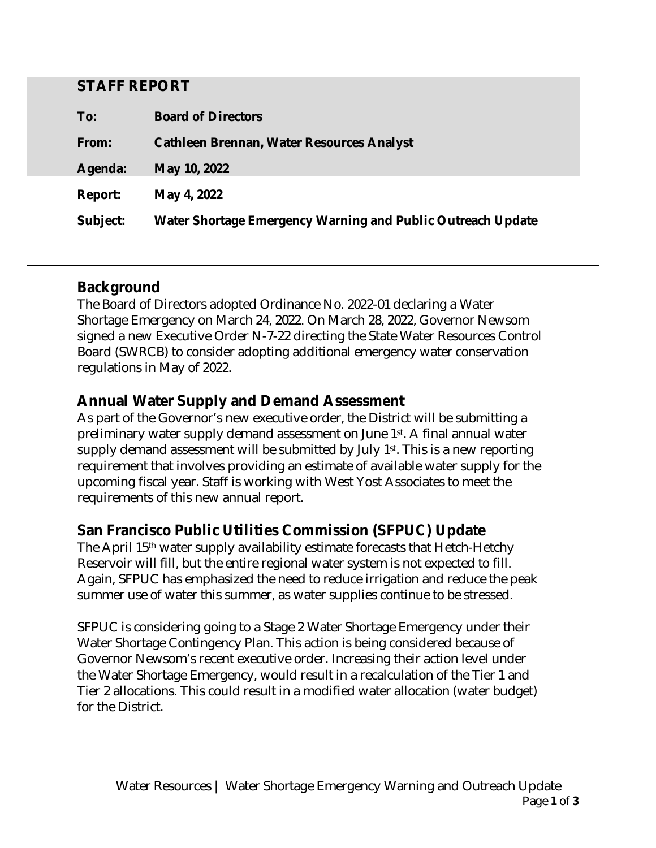#### **STAFF REPORT**

| To:             | <b>Board of Directors</b>                                          |
|-----------------|--------------------------------------------------------------------|
| From:           | <b>Cathleen Brennan, Water Resources Analyst</b>                   |
| <b>Agenda:</b>  | <b>May 10, 2022</b>                                                |
| <b>Report:</b>  | May 4, 2022                                                        |
| <b>Subject:</b> | <b>Water Shortage Emergency Warning and Public Outreach Update</b> |

### **Background**

The Board of Directors adopted Ordinance No. 2022-01 declaring a Water Shortage Emergency on March 24, 2022. On March 28, 2022, Governor Newsom signed a new Executive Order N-7-22 directing the State Water Resources Control Board (SWRCB) to consider adopting additional emergency water conservation regulations in May of 2022.

### **Annual Water Supply and Demand Assessment**

As part of the Governor's new executive order, the District will be submitting a preliminary water supply demand assessment on June 1st. A final annual water supply demand assessment will be submitted by July 1st. This is a new reporting requirement that involves providing an estimate of available water supply for the upcoming fiscal year. Staff is working with West Yost Associates to meet the requirements of this new annual report.

### **San Francisco Public Utilities Commission (SFPUC) Update**

The April 15th water supply availability estimate forecasts that Hetch-Hetchy Reservoir will fill, but the entire regional water system is not expected to fill. Again, SFPUC has emphasized the need to reduce irrigation and reduce the peak summer use of water this summer, as water supplies continue to be stressed.

SFPUC is considering going to a Stage 2 Water Shortage Emergency under their Water Shortage Contingency Plan. This action is being considered because of Governor Newsom's recent executive order. Increasing their action level under the Water Shortage Emergency, would result in a recalculation of the Tier 1 and Tier 2 allocations. This could result in a modified water allocation (water budget) for the District.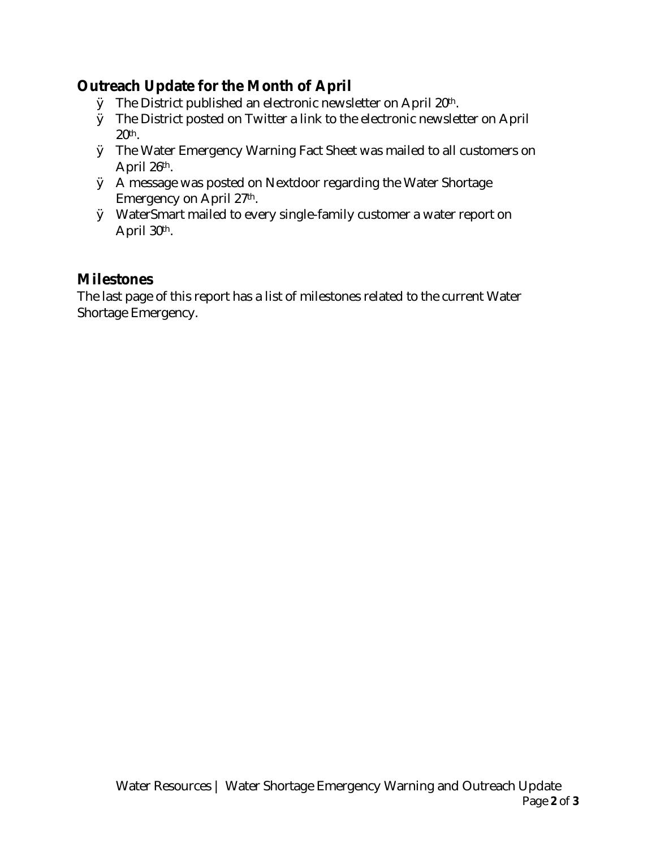# **Outreach Update for the Month of April**

- Ø The District published an electronic newsletter on April 20th.
- Ø The District posted on Twitter a link to the electronic newsletter on April 20th.
- Ø The Water Emergency Warning Fact Sheet was mailed to all customers on April 26th.
- Ø A message was posted on Nextdoor regarding the Water Shortage Emergency on April 27th.
- Ø WaterSmart mailed to every single-family customer a water report on April 30th.

## **Milestones**

The last page of this report has a list of milestones related to the current Water Shortage Emergency.